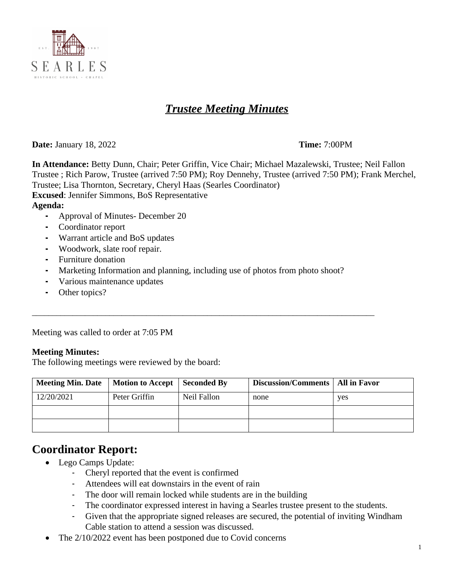

# *Trustee Meeting Minutes*

**Date:** January 18, 2022 **Time:** 7:00PM

**In Attendance:** Betty Dunn, Chair; Peter Griffin, Vice Chair; Michael Mazalewski, Trustee; Neil Fallon Trustee ; Rich Parow, Trustee (arrived 7:50 PM); Roy Dennehy, Trustee (arrived 7:50 PM); Frank Merchel, Trustee; Lisa Thornton, Secretary, Cheryl Haas (Searles Coordinator) **Excused**: Jennifer Simmons, BoS Representative **Agenda:**

- **-** Approval of Minutes- December 20
- **-** Coordinator report
- **-** Warrant article and BoS updates
- **-** Woodwork, slate roof repair.
- **-** Furniture donation
- **-** Marketing Information and planning, including use of photos from photo shoot?

\_\_\_\_\_\_\_\_\_\_\_\_\_\_\_\_\_\_\_\_\_\_\_\_\_\_\_\_\_\_\_\_\_\_\_\_\_\_\_\_\_\_\_\_\_\_\_\_\_\_\_\_\_\_\_\_\_\_\_\_\_\_\_\_\_\_\_\_\_\_\_\_\_\_\_\_\_\_\_\_\_\_\_\_

- **-** Various maintenance updates
- **-** Other topics?

Meeting was called to order at 7:05 PM

#### **Meeting Minutes:**

The following meetings were reviewed by the board:

| Meeting Min. Date   Motion to Accept   Seconded By |               |             | Discussion/Comments   All in Favor |     |
|----------------------------------------------------|---------------|-------------|------------------------------------|-----|
| 12/20/2021                                         | Peter Griffin | Neil Fallon | none                               | yes |
|                                                    |               |             |                                    |     |
|                                                    |               |             |                                    |     |

#### **Coordinator Report:**

- Lego Camps Update:
	- Cheryl reported that the event is confirmed
	- Attendees will eat downstairs in the event of rain
	- The door will remain locked while students are in the building
	- The coordinator expressed interest in having a Searles trustee present to the students.
	- Given that the appropriate signed releases are secured, the potential of inviting Windham Cable station to attend a session was discussed.
- The  $2/10/2022$  event has been postponed due to Covid concerns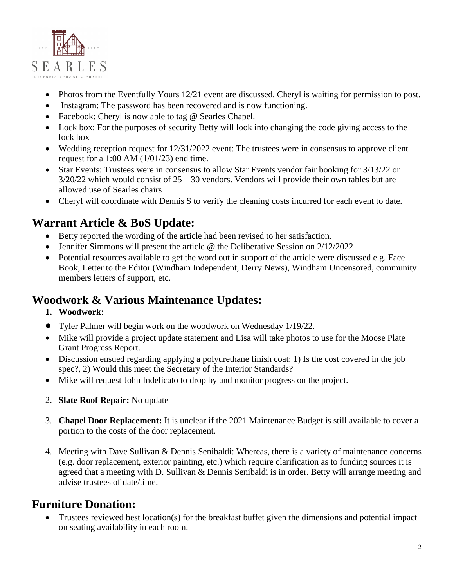

- Photos from the Eventfully Yours 12/21 event are discussed. Cheryl is waiting for permission to post.
- Instagram: The password has been recovered and is now functioning.
- Facebook: Cheryl is now able to tag @ Searles Chapel.
- Lock box: For the purposes of security Betty will look into changing the code giving access to the lock box
- Wedding reception request for 12/31/2022 event: The trustees were in consensus to approve client request for a 1:00 AM (1/01/23) end time.
- Star Events: Trustees were in consensus to allow Star Events vendor fair booking for 3/13/22 or  $3/20/22$  which would consist of  $25 - 30$  vendors. Vendors will provide their own tables but are allowed use of Searles chairs
- Cheryl will coordinate with Dennis S to verify the cleaning costs incurred for each event to date.

# **Warrant Article & BoS Update:**

- Betty reported the wording of the article had been revised to her satisfaction.
- Jennifer Simmons will present the article @ the Deliberative Session on 2/12/2022
- Potential resources available to get the word out in support of the article were discussed e.g. Face Book, Letter to the Editor (Windham Independent, Derry News), Windham Uncensored, community members letters of support, etc.

### **Woodwork & Various Maintenance Updates:**

- **1. Woodwork**:
- Tyler Palmer will begin work on the woodwork on Wednesday 1/19/22.
- Mike will provide a project update statement and Lisa will take photos to use for the Moose Plate Grant Progress Report.
- Discussion ensued regarding applying a polyurethane finish coat: 1) Is the cost covered in the job spec?, 2) Would this meet the Secretary of the Interior Standards?
- Mike will request John Indelicato to drop by and monitor progress on the project.
- 2. **Slate Roof Repair:** No update
- 3. **Chapel Door Replacement:** It is unclear if the 2021 Maintenance Budget is still available to cover a portion to the costs of the door replacement.
- 4. Meeting with Dave Sullivan & Dennis Senibaldi: Whereas, there is a variety of maintenance concerns (e.g. door replacement, exterior painting, etc.) which require clarification as to funding sources it is agreed that a meeting with D. Sullivan & Dennis Senibaldi is in order. Betty will arrange meeting and advise trustees of date/time.

#### **Furniture Donation:**

 Trustees reviewed best location(s) for the breakfast buffet given the dimensions and potential impact on seating availability in each room.